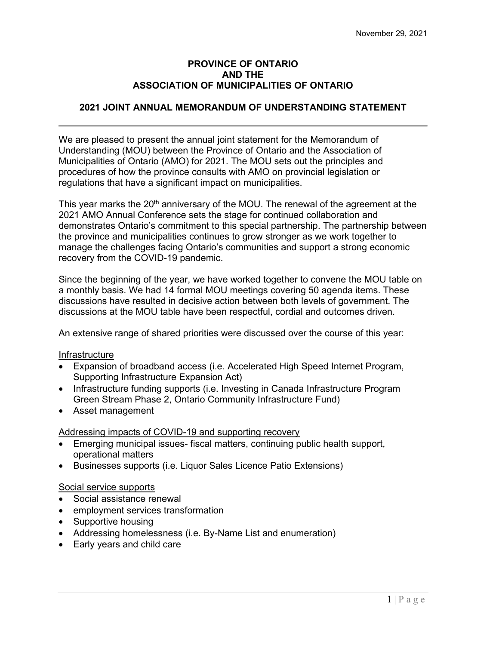### **PROVINCE OF ONTARIO AND THE ASSOCIATION OF MUNICIPALITIES OF ONTARIO**

# **2021 JOINT ANNUAL MEMORANDUM OF UNDERSTANDING STATEMENT**

We are pleased to present the annual joint statement for the Memorandum of Understanding (MOU) between the Province of Ontario and the Association of Municipalities of Ontario (AMO) for 2021. The MOU sets out the principles and procedures of how the province consults with AMO on provincial legislation or regulations that have a significant impact on municipalities.

This year marks the 20<sup>th</sup> anniversary of the MOU. The renewal of the agreement at the 2021 AMO Annual Conference sets the stage for continued collaboration and demonstrates Ontario's commitment to this special partnership. The partnership between the province and municipalities continues to grow stronger as we work together to manage the challenges facing Ontario's communities and support a strong economic recovery from the COVID-19 pandemic.

Since the beginning of the year, we have worked together to convene the MOU table on a monthly basis. We had 14 formal MOU meetings covering 50 agenda items. These discussions have resulted in decisive action between both levels of government. The discussions at the MOU table have been respectful, cordial and outcomes driven.

An extensive range of shared priorities were discussed over the course of this year:

#### **Infrastructure**

- Expansion of broadband access (i.e. Accelerated High Speed Internet Program, Supporting Infrastructure Expansion Act)
- Infrastructure funding supports (i.e. Investing in Canada Infrastructure Program Green Stream Phase 2, Ontario Community Infrastructure Fund)
- Asset management

## Addressing impacts of COVID-19 and supporting recovery

- Emerging municipal issues- fiscal matters, continuing public health support, operational matters
- Businesses supports (i.e. Liquor Sales Licence Patio Extensions)

## Social service supports

- Social assistance renewal
- employment services transformation
- Supportive housing
- Addressing homelessness (i.e. By-Name List and enumeration)
- Early years and child care